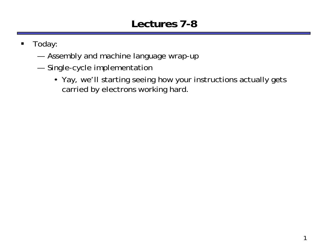#### **Lectures 7-8**

- $\blacksquare$  Today:
	- —Assembly and machine language wrap-up
	- — Single-cycle implementation
		- Yay, we'll starting seeing how your instructions actually gets carried by electrons working hard.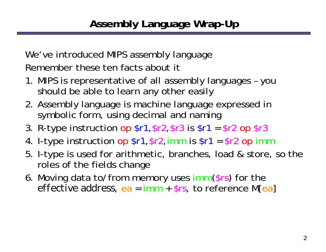We've introduced MIPS assembly language Remember these ten facts about it

- 1. MIPS is representative of all assembly languages you should be able to learn any other easily
- 2. Assembly language is machine language expressed in symbolic form, using decimal and naming
- 3. R-type instruction op \$r1,\$r2,\$r3 is \$r1 = \$r2 op \$r3
- 4. I-type instruction op \$r1,\$r2,imm is \$r1 = \$r2 op imm
- 5. I-type is used for arithmetic, branches, load & store, so the roles of the fields change
- 6. Moving data to/from memory uses imm (\$rs) for the *effective address,* ea = imm + \$rs, to reference M[ea ]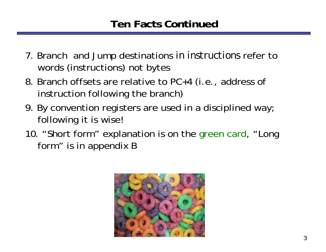- 7. Branch and Jump destinations *in instructions* refer to words (instructions) not bytes
- 8. Branch offsets are relative to PC+4 (i.e., address of instruction following the branch)
- 9. By convention registers are used in a disciplined way; following it is wise!
- 10. "Short form" explanation is on the green card, "Long form" is in appendix B

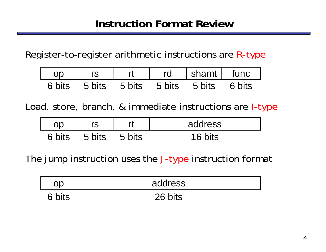Register-to-register arithmetic instructions are R-type

| 7r     |        |        | rd     | shamt   func |        |
|--------|--------|--------|--------|--------------|--------|
| 6 bits | 5 bits | 5 bits | 5 bits | 5 bits       | 6 bits |

Load, store, branch, & immediate instructions are I-type

| C      |        |        | address |
|--------|--------|--------|---------|
| 6 bits | 5 bits | 5 bits | 16 bits |

The jump instruction uses the J-type instruction format

|        | address |
|--------|---------|
| 6 bits | 26 bits |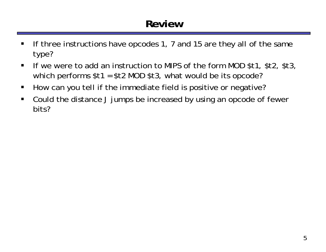#### **Review**

- $\blacksquare$  If three instructions have opcodes 1, 7 and 15 are they all of the same type?
- $\blacksquare$  If we were to add an instruction to MIPS of the form MOD \$t1, \$t2, \$t3, which performs \$t1 = \$t2 MOD \$t3, what would be its opcode?
- $\blacksquare$ How can you tell if the immediate field is positive or negative?
- $\blacksquare$  Could the distance J jumps be increased by using an opcode of fewer bits?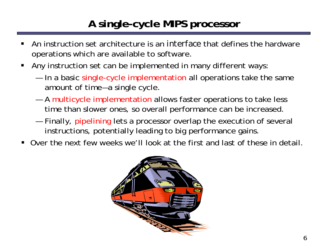## **A single-cycle MIPS processor**

- ш An instruction set architecture is an *interface* that defines the hardware operations which are available to software.
- П Any instruction set can be implemented in many different ways:
	- — In a basic single-cycle implementation all operations take the same amount of time—a single cycle.
	- — A multicycle implementation allows faster operations to take less time than slower ones, so overall performance can be increased.
	- — Finally, pipelining lets a processor overlap the execution of several instructions, potentially leading to big performance gains.
- Over the next few weeks we'll look at the first and last of these in detail.

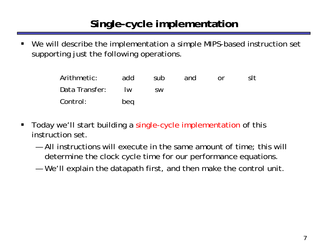# **Single-cycle implementation**

ш We will describe the implementation a simple MIPS-based instruction set supporting just the following operations.

| Arithmetic:    | add                     | sub       | and | nr. | slt |
|----------------|-------------------------|-----------|-----|-----|-----|
| Data Transfer: | $\overline{\mathsf{N}}$ | <b>SW</b> |     |     |     |
| Control:       | beg                     |           |     |     |     |

- $\blacksquare$  Today we'll start building a single-cycle implementation of this instruction set.
	- All instructions will execute in the same amount of time; this will determine the clock cycle time for our performance equations.
	- —We'll explain the datapath first, and then make the control unit.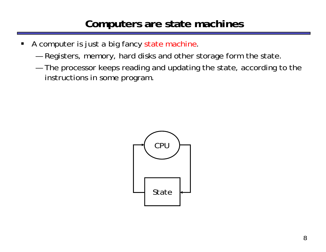### **Computers are state machines**

- $\blacksquare$  A computer is just a big fancy state machine.
	- —Registers, memory, hard disks and other storage form the state.
	- — The processor keeps reading and updating the state, according to the instructions in some program.

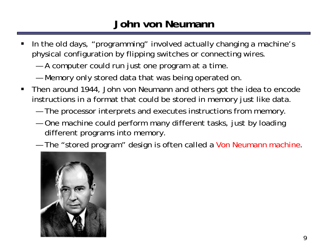## **John von Neumann**

- In the old days, "programming" involved actually changing a machine's physical configuration by flipping switches or connecting wires.
	- —A computer could run just one program at a time.
	- —Memory only stored data that was being operated on.
- $\blacksquare$  Then around 1944, John von Neumann and others got the idea to encode instructions in a format that could be stored in memory just like data.
	- —The processor interprets and executes instructions from memory.
	- — One machine could perform many different tasks, just by loading different programs into memory.
	- —The "stored program" design is often called a Von Neumann machine.

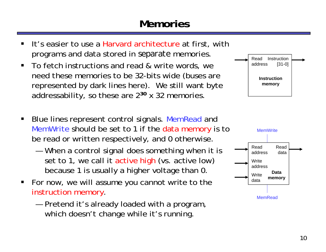## **Memories**



- ш **It's easier to use a Harvard architecture at first, with** programs and data stored in *separate* memories.
- $\blacksquare$  To fetch instructions and read & write words, we need these memories to be 32-bits wide (buses are represented by dark lines here). We still want byte addressability, so these are 2**<sup>30</sup>** x 32 memories.
- $\blacksquare$ Blue lines represent control signals. MemRead and MemWrite should be set to 1 if the data memory is to be read or written respectively, and 0 otherwise.
	- — When a control signal does something when it is set to 1, we call it active high (vs. active low) because 1 is usually a higher voltage than 0.
- For now, we will assume you cannot write to the instruction memory.
	- — Pretend it's already loaded with a program, which doesn't change while it's running.

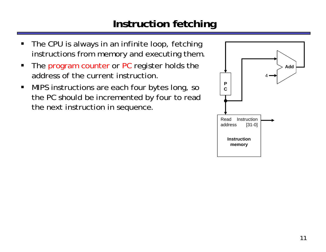## **Instruction fetching**

- $\blacksquare$  The CPU is always in an infinite loop, fetching instructions from memory and executing them.
- $\blacksquare$ The program counter or PC register holds the address of the current instruction.
- $\blacksquare$  MIPS instructions are each four bytes long, so the PC should be incremented by four to read the next instruction in sequence.

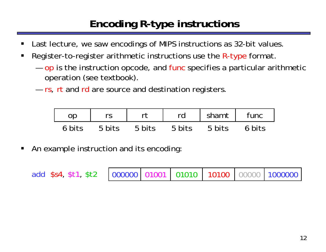## **Encoding R-type instructions**

- ш Last lecture, we saw encodings of MIPS instructions as 32-bit values.
- П Register-to-register arithmetic instructions use the R-type format.
	- — $-$  op is the instruction opcode, and func specifies a particular arithmetic operation (see textbook).
	- —— rs, rt and rd are source and destination registers.

| op     |        |        | rd     | shamt  | func   |
|--------|--------|--------|--------|--------|--------|
| 6 hits | 5 bits | 5 bits | 5 bits | 5 bits | 6 bits |

 $\blacksquare$ An example instruction and its encoding:

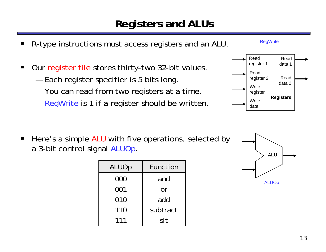### **Registers and ALUs**

- R-type instructions must access registers and an ALU. Our register file stores thirty-two 32-bit values. Each register specifier is 5 bits long. You can read from two registers at a time.  $-$  RegWrite is 1 if a register should be written. Readregister 1 Readregister 2 **Write** register **Write** dataReaddata 2 Readdata 1**Registers RegWrite**
- $\blacksquare$ Here's a simple ALU with five operations, selected by a 3-bit control signal ALUOp.

ш

 $\blacksquare$ 

—

—

—

| <b>ALUOp</b> | Function |
|--------------|----------|
| 000          | and      |
| 001          | or       |
| 010          | add      |
| 110          | subtract |
| 111          | slt      |

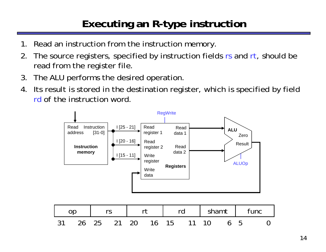# **Executing an R-type instruction**

- 1. Read an instruction from the instruction memory.
- 2. The source registers, specified by instruction fields rs and rt, should be read from the register file.
- 3. The ALU performs the desired operation.
- 4. Its result is stored in the destination register, which is specified by field rd of the instruction word.



|  |  |  | I rs I rt I rd I shamt I func  |  |  |  |
|--|--|--|--------------------------------|--|--|--|
|  |  |  | 31 26 25 21 20 16 15 11 10 6 5 |  |  |  |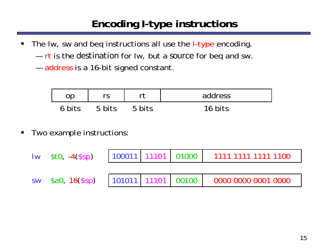## **Encoding I-type instructions**

- $\blacksquare$ The Iw, sw and beq instructions all use the *I-type* encoding.
	- rt is the *destination* for lw, but a *source* for beq and sw.
	- — $-$  address is a 16-bit signed constant.

| nn     | rr     |        | address |
|--------|--------|--------|---------|
| 6 hits | 5 bits | 5 hits | 16 hits |

 $\blacksquare$ Two example instructions:

| $\mathsf{Iw}$ \$tO, $-4$ (\$sp) |  | 100011 11101 01000 1111 1111 1111 1100 |
|---------------------------------|--|----------------------------------------|
|                                 |  |                                        |
|                                 |  |                                        |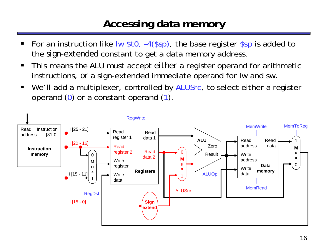#### **Accessing data memory**

- ш For an instruction like lw \$t0, -4(\$sp), the base register \$sp is added to the *sign-extended* constant to get a data memory address.
- $\blacksquare$  This means the ALU must accept *either* a register operand for arithmetic instructions, *or* a sign-extended immediate operand for lw and sw.
- $\blacksquare$ We'll add a multiplexer, controlled by ALUSrc, to select either a register operand ( 0) or a constant operand ( 1).

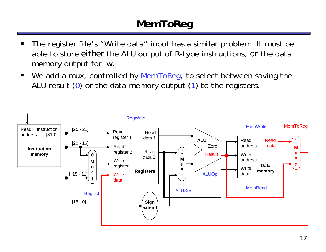# **MemToReg**

- ш The register file's "Write data" input has a similar problem. It must be able to store *either* the ALU output of R-type instructions, *or* the data memory output for lw.
- $\blacksquare$ We add a mux, controlled by MemToReg, to select between saving the ALU result  $(0)$  or the data memory output  $(1)$  to the registers.

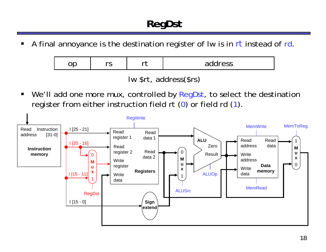ш A final annoyance is the destination register of lw is in *rt* instead of rd.

| -- | $\sim$ | --- | address |
|----|--------|-----|---------|
|    |        |     |         |

lw \$rt, address(\$rs)

 $\blacksquare$ We'll add one more mux, controlled by RegDst, to select the destination register from either instruction field rt (0) or field rd (1).

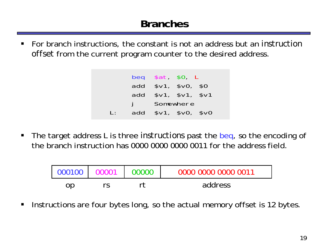$\blacksquare$  For branch instructions, the constant is not an address but an *instruction offset* from the current program counter to the desired address.

|                |     | beg $$at$ $$0$ , L |                        |  |
|----------------|-----|--------------------|------------------------|--|
|                | add | \$v1, \$v0, \$0    |                        |  |
|                | add |                    | \$v1, \$v1, \$v1, \$v1 |  |
|                |     |                    | Somewhere              |  |
| $\mathbf{I}$ . | add |                    | \$v1, \$v0, \$v0       |  |

 $\blacksquare$  The target address L is three *instructions* past the beq, so the encoding of the branch instruction has 0000 0000 0000 0011 for the address field.

| 000100 | 00000 | 0000 0000 0000 0011 |
|--------|-------|---------------------|
| op     |       | address             |

 $\blacksquare$ Instructions are four bytes long, so the actual memory offset is 12 bytes.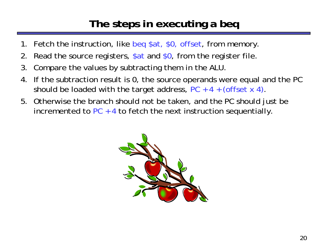### **The steps in executing a beq**

- 1. Fetch the instruction, like beq \$at, \$0, offset, from memory.
- 2. Read the source registers, \$at and \$0, from the register file.
- 3. Compare the values by subtracting them in the ALU.
- 4. If the subtraction result is 0, the source operands were equal and the PC should be loaded with the target address,  $PC + 4 + (offset \times 4)$ .
- 5. Otherwise the branch should not be taken, and the PC should just be incremented to PC  $\pm$  4 to fetch the next instruction sequentially.

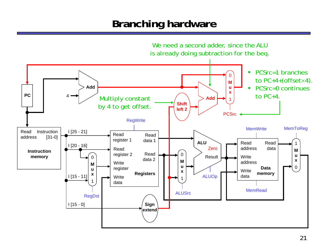### **Branching hardware**

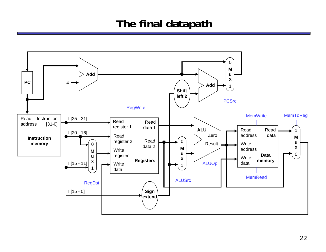### **The final datapath**

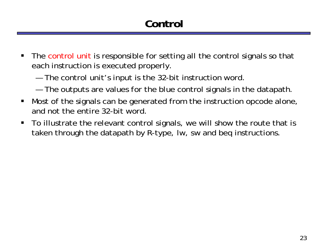# **Control**

- $\blacksquare$  The control unit is responsible for setting all the control signals so that each instruction is executed properly.
	- —The control unit's input is the 32-bit instruction word.
	- —The outputs are values for the blue control signals in the datapath.
- $\blacksquare$  Most of the signals can be generated from the instruction opcode alone, and not the entire 32-bit word.
- $\blacksquare$  To illustrate the relevant control signals, we will show the route that is taken through the datapath by R-type, lw, sw and beq instructions.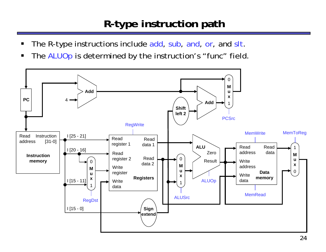# **R-type instruction path**

- $\blacksquare$ The R-type instructions include add, sub, and, or, and slt.
- $\blacksquare$ The ALUOp is determined by the instruction's "func" field.

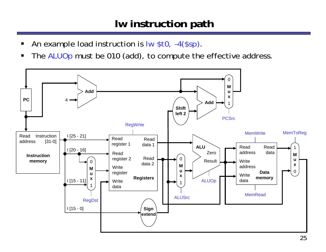### **lw instruction path**

- ш An example load instruction is lw \$t0, -4(\$sp).
- $\blacksquare$ The ALUOp must be 010 (add), to compute the effective address.

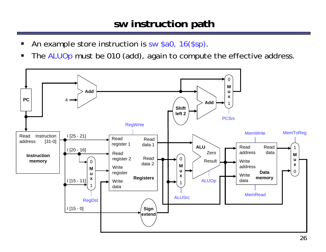#### **sw instruction path**

- ш An example store instruction is sw \$a0, 16(\$sp).
- $\blacksquare$ The ALUOp must be 010 (add), again to compute the effective address.

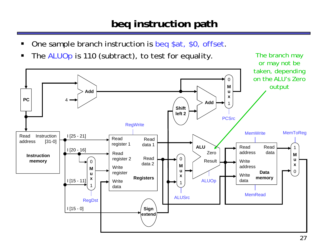## **beq instruction path**

- ш One sample branch instruction is beq \$at, \$0, offset.
- $\blacksquare$ The ALUOp is 110 (subtract), to test for equality. The branch may

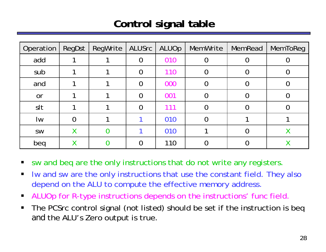## **Control signal table**

| Operation | RegDst | RegWrite | ALUSrc   | ALUOp | MemWrite | MemRead | <b>MemToReg</b> |
|-----------|--------|----------|----------|-------|----------|---------|-----------------|
| add       |        |          | $\Omega$ | 010   |          |         |                 |
| sub       |        |          | 0        | 110   |          |         |                 |
| and       |        |          | 0        | 000   |          |         |                 |
| or        |        |          | $\Omega$ | 001   |          |         |                 |
| slt       |        |          | 0        | 111   |          |         |                 |
| Iw        |        |          |          | 010   |          |         |                 |
| SW        | Χ      |          |          | 010   |          |         |                 |
| beg       |        |          |          | 110   |          |         |                 |

 $\blacksquare$ sw and beq are the only instructions that do not write any registers.

- $\blacksquare$  lw and sw are the only instructions that use the constant field. They also depend on the ALU to compute the effective memory address.
- $\blacksquare$ ALUOp for R-type instructions depends on the instructions' func field.
- $\blacksquare$  The PCSrc control signal (not listed) should be set if the instruction is beq *and* the ALU's Zero output is true.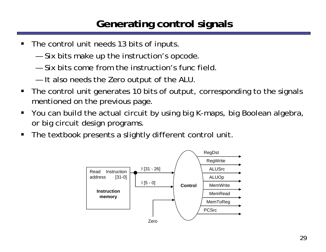## **Generating control signals**

- $\blacksquare$  The control unit needs 13 bits of inputs.
	- —Six bits make up the instruction's opcode.
	- Six bits come from the instruction's func field.
	- —It also needs the Zero output of the ALU.
- $\blacksquare$  The control unit generates 10 bits of output, corresponding to the signals mentioned on the previous page.
- $\blacksquare$  You can build the actual circuit by using big K-maps, big Boolean algebra, or big circuit design programs.
- $\blacksquare$ The textbook presents a slightly different control unit.